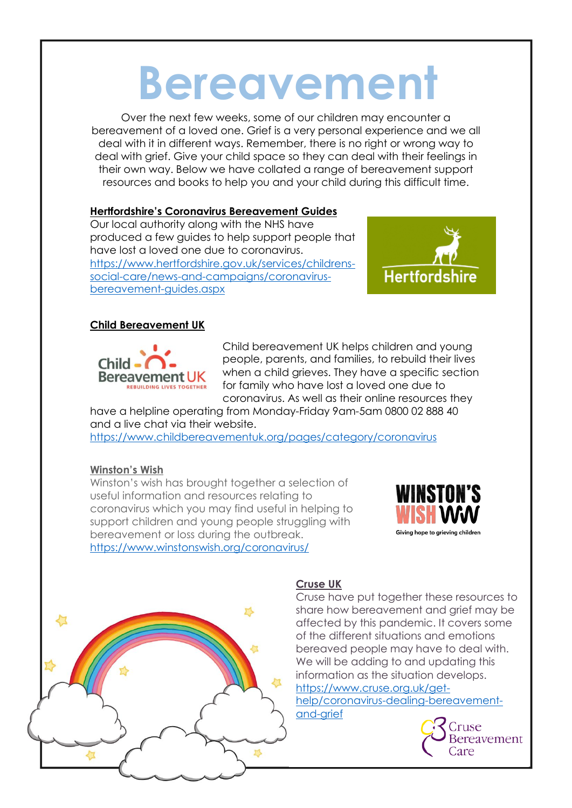# **Bereavement**

Over the next few weeks, some of our children may encounter a bereavement of a loved one. Grief is a very personal experience and we all deal with it in different ways. Remember, there is no right or wrong way to deal with grief. Give your child space so they can deal with their feelings in their own way. Below we have collated a range of bereavement support resources and books to help you and your child during this difficult time.

### **Hertfordshire's Coronavirus Bereavement Guides**

Our local authority along with the NHS have produced a few guides to help support people that have lost a loved one due to coronavirus. [https://www.hertfordshire.gov.uk/services/childrens](https://www.hertfordshire.gov.uk/services/childrens-social-care/news-and-campaigns/coronavirus-bereavement-guides.aspx)[social-care/news-and-campaigns/coronavirus](https://www.hertfordshire.gov.uk/services/childrens-social-care/news-and-campaigns/coronavirus-bereavement-guides.aspx)[bereavement-guides.aspx](https://www.hertfordshire.gov.uk/services/childrens-social-care/news-and-campaigns/coronavirus-bereavement-guides.aspx)



### **Child Bereavement UK**



Child bereavement UK helps children and young people, parents, and families, to rebuild their lives when a child grieves. They have a specific section for family who have lost a loved one due to coronavirus. As well as their online resources they

have a helpline operating from Monday-Friday 9am-5am 0800 02 888 40 and a live chat via their website.

<https://www.childbereavementuk.org/pages/category/coronavirus>

#### **Winston's Wish**

Winston's wish has brought together a selection of useful information and resources relating to coronavirus which you may find useful in helping to support children and young people struggling with bereavement or loss during the outbreak. <https://www.winstonswish.org/coronavirus/>





## **Cruse UK**

Cruse have put together these resources to share how bereavement and grief may be affected by this pandemic. It covers some of the different situations and emotions bereaved people may have to deal with. We will be adding to and updating this information as the situation develops. [https://www.cruse.org.uk/get-](https://www.cruse.org.uk/get-help/coronavirus-dealing-bereavement-and-grief)

[help/coronavirus-dealing-bereavement](https://www.cruse.org.uk/get-help/coronavirus-dealing-bereavement-and-grief)[and-grief](https://www.cruse.org.uk/get-help/coronavirus-dealing-bereavement-and-grief)